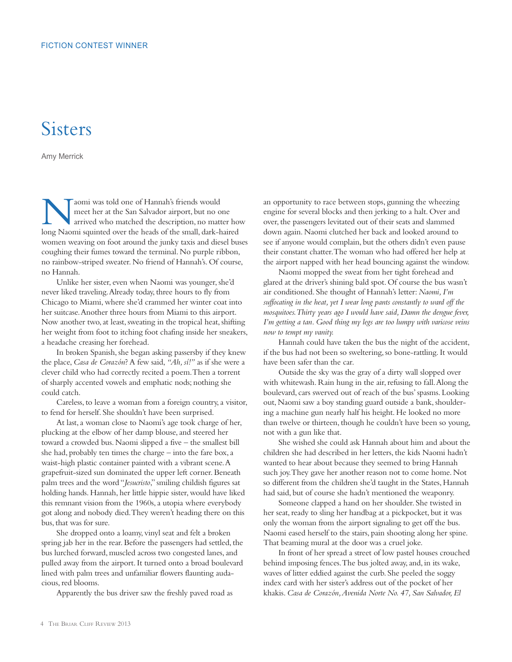## **Sisters**

Amy Merrick

Naomi was told one of Hannah's friends would<br>meet her at the San Salvador airport, but no o<br>arrived who matched the description, no matt<br>long Naomi squinted over the heads of the small dark h meet her at the San Salvador airport, but no one arrived who matched the description, no matter how long Naomi squinted over the heads of the small, dark-haired women weaving on foot around the junky taxis and diesel buses coughing their fumes toward the terminal. No purple ribbon, no rainbow-striped sweater. No friend of Hannah's. Of course, no Hannah.

Unlike her sister, even when Naomi was younger, she'd never liked traveling. Already today, three hours to fly from Chicago to Miami, where she'd crammed her winter coat into her suitcase. Another three hours from Miami to this airport. Now another two, at least, sweating in the tropical heat, shifting her weight from foot to itching foot chafing inside her sneakers, a headache creasing her forehead.

In broken Spanish, she began asking passersby if they knew the place, *Casa de Corazón*? A few said, *"Ah, sí!"* as if she were a clever child who had correctly recited a poem. Then a torrent of sharply accented vowels and emphatic nods; nothing she could catch.

Careless, to leave a woman from a foreign country, a visitor, to fend for herself. She shouldn't have been surprised.

At last, a woman close to Naomi's age took charge of her, plucking at the elbow of her damp blouse, and steered her toward a crowded bus. Naomi slipped a five – the smallest bill she had, probably ten times the charge – into the fare box, a waist-high plastic container painted with a vibrant scene. A grapefruit-sized sun dominated the upper left corner. Beneath palm trees and the word "*Jesucristo*," smiling childish figures sat holding hands. Hannah, her little hippie sister, would have liked this remnant vision from the 1960s, a utopia where everybody got along and nobody died. They weren't heading there on this bus, that was for sure.

She dropped onto a loamy, vinyl seat and felt a broken spring jab her in the rear. Before the passengers had settled, the bus lurched forward, muscled across two congested lanes, and pulled away from the airport. It turned onto a broad boulevard lined with palm trees and unfamiliar flowers flaunting audacious, red blooms.

Apparently the bus driver saw the freshly paved road as

an opportunity to race between stops, gunning the wheezing engine for several blocks and then jerking to a halt. Over and over, the passengers levitated out of their seats and slammed down again. Naomi clutched her back and looked around to see if anyone would complain, but the others didn't even pause their constant chatter. The woman who had offered her help at the airport napped with her head bouncing against the window.

Naomi mopped the sweat from her tight forehead and glared at the driver's shining bald spot. Of course the bus wasn't air conditioned. She thought of Hannah's letter: *Naomi, I'm suffocating in the heat, yet I wear long pants constantly to ward off the mosquitoes. Thirty years ago I would have said, Damn the dengue fever, I'm getting a tan. Good thing my legs are too lumpy with varicose veins now to tempt my vanity.*

Hannah could have taken the bus the night of the accident, if the bus had not been so sweltering, so bone-rattling. It would have been safer than the car.

Outside the sky was the gray of a dirty wall slopped over with whitewash. Rain hung in the air, refusing to fall. Along the boulevard, cars swerved out of reach of the bus' spasms. Looking out, Naomi saw a boy standing guard outside a bank, shouldering a machine gun nearly half his height. He looked no more than twelve or thirteen, though he couldn't have been so young, not with a gun like that.

She wished she could ask Hannah about him and about the children she had described in her letters, the kids Naomi hadn't wanted to hear about because they seemed to bring Hannah such joy. They gave her another reason not to come home. Not so different from the children she'd taught in the States, Hannah had said, but of course she hadn't mentioned the weaponry.

Someone clapped a hand on her shoulder. She twisted in her seat, ready to sling her handbag at a pickpocket, but it was only the woman from the airport signaling to get off the bus. Naomi eased herself to the stairs, pain shooting along her spine. That beaming mural at the door was a cruel joke.

In front of her spread a street of low pastel houses crouched behind imposing fences. The bus jolted away, and, in its wake, waves of litter eddied against the curb. She peeled the soggy index card with her sister's address out of the pocket of her khakis. *Casa de Corazón, Avenida Norte No. 47, San Salvador, El*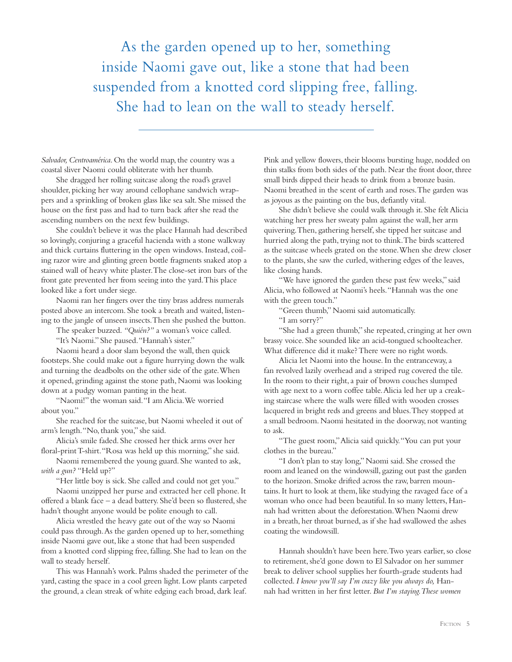As the garden opened up to her, something inside Naomi gave out, like a stone that had been suspended from a knotted cord slipping free, falling. She had to lean on the wall to steady herself.

*Salvador, Centroamérica*. On the world map, the country was a coastal sliver Naomi could obliterate with her thumb.

She dragged her rolling suitcase along the road's gravel shoulder, picking her way around cellophane sandwich wrappers and a sprinkling of broken glass like sea salt. She missed the house on the first pass and had to turn back after she read the ascending numbers on the next few buildings.

She couldn't believe it was the place Hannah had described so lovingly, conjuring a graceful hacienda with a stone walkway and thick curtains fluttering in the open windows. Instead, coiling razor wire and glinting green bottle fragments snaked atop a stained wall of heavy white plaster. The close-set iron bars of the front gate prevented her from seeing into the yard. This place looked like a fort under siege.

Naomi ran her fingers over the tiny brass address numerals posted above an intercom. She took a breath and waited, listening to the jangle of unseen insects. Then she pushed the button.

The speaker buzzed. *"Quién?"* a woman's voice called.

"It's Naomi." She paused. "Hannah's sister."

Naomi heard a door slam beyond the wall, then quick footsteps. She could make out a figure hurrying down the walk and turning the deadbolts on the other side of the gate. When it opened, grinding against the stone path, Naomi was looking down at a pudgy woman panting in the heat.

"Naomi!" the woman said. "I am Alicia. We worried about you."

She reached for the suitcase, but Naomi wheeled it out of arm's length. "No, thank you," she said.

Alicia's smile faded. She crossed her thick arms over her floral-print T-shirt. "Rosa was held up this morning," she said.

Naomi remembered the young guard. She wanted to ask, *with a gun?* "Held up?"

"Her little boy is sick. She called and could not get you."

Naomi unzipped her purse and extracted her cell phone. It offered a blank face – a dead battery. She'd been so flustered, she hadn't thought anyone would be polite enough to call.

Alicia wrestled the heavy gate out of the way so Naomi could pass through. As the garden opened up to her, something inside Naomi gave out, like a stone that had been suspended from a knotted cord slipping free, falling. She had to lean on the wall to steady herself.

This was Hannah's work. Palms shaded the perimeter of the yard, casting the space in a cool green light. Low plants carpeted the ground, a clean streak of white edging each broad, dark leaf.

Pink and yellow flowers, their blooms bursting huge, nodded on thin stalks from both sides of the path. Near the front door, three small birds dipped their heads to drink from a bronze basin. Naomi breathed in the scent of earth and roses. The garden was as joyous as the painting on the bus, defiantly vital.

She didn't believe she could walk through it. She felt Alicia watching her press her sweaty palm against the wall, her arm quivering. Then, gathering herself, she tipped her suitcase and hurried along the path, trying not to think. The birds scattered as the suitcase wheels grated on the stone. When she drew closer to the plants, she saw the curled, withering edges of the leaves, like closing hands.

"We have ignored the garden these past few weeks," said Alicia, who followed at Naomi's heels. "Hannah was the one with the green touch."

"Green thumb," Naomi said automatically.

"I am sorry?"

"She had a green thumb," she repeated, cringing at her own brassy voice. She sounded like an acid-tongued schoolteacher. What difference did it make? There were no right words.

Alicia let Naomi into the house. In the entranceway, a fan revolved lazily overhead and a striped rug covered the tile. In the room to their right, a pair of brown couches slumped with age next to a worn coffee table. Alicia led her up a creaking staircase where the walls were filled with wooden crosses lacquered in bright reds and greens and blues. They stopped at a small bedroom. Naomi hesitated in the doorway, not wanting to ask.

"The guest room," Alicia said quickly. "You can put your clothes in the bureau."

"I don't plan to stay long," Naomi said. She crossed the room and leaned on the windowsill, gazing out past the garden to the horizon. Smoke drifted across the raw, barren mountains. It hurt to look at them, like studying the ravaged face of a woman who once had been beautiful. In so many letters, Hannah had written about the deforestation. When Naomi drew in a breath, her throat burned, as if she had swallowed the ashes coating the windowsill.

Hannah shouldn't have been here. Two years earlier, so close to retirement, she'd gone down to El Salvador on her summer break to deliver school supplies her fourth-grade students had collected. *I know you'll say I'm crazy like you always do,* Hannah had written in her first letter. *But I'm staying. These women*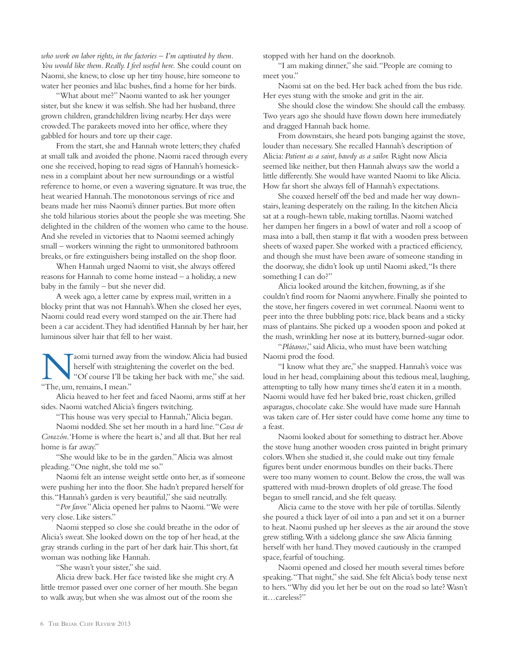*who work on labor rights, in the factories* – *I'm captivated by them. You would like them. Really. I feel useful here.* She could count on Naomi, she knew, to close up her tiny house, hire someone to water her peonies and lilac bushes, find a home for her birds.

"What about me?" Naomi wanted to ask her younger sister, but she knew it was selfish. She had her husband, three grown children, grandchildren living nearby. Her days were crowded. The parakeets moved into her office, where they gabbled for hours and tore up their cage.

From the start, she and Hannah wrote letters; they chafed at small talk and avoided the phone. Naomi raced through every one she received, hoping to read signs of Hannah's homesickness in a complaint about her new surroundings or a wistful reference to home, or even a wavering signature. It was true, the heat wearied Hannah. The monotonous servings of rice and beans made her miss Naomi's dinner parties. But more often she told hilarious stories about the people she was meeting. She delighted in the children of the women who came to the house. And she reveled in victories that to Naomi seemed achingly small – workers winning the right to unmonitored bathroom breaks, or fire extinguishers being installed on the shop floor.

When Hannah urged Naomi to visit, she always offered reasons for Hannah to come home instead – a holiday, a new baby in the family – but she never did.

A week ago, a letter came by express mail, written in a blocky print that was not Hannah's. When she closed her eyes, Naomi could read every word stamped on the air. There had been a car accident. They had identified Hannah by her hair, her luminous silver hair that fell to her waist.

Naomi turned away from the window. Alicia had busied<br>herself with straightening the coverlet on the bed.<br>"The um remains I mean." herself with straightening the coverlet on the bed. "The, um, remains, I mean."

Alicia heaved to her feet and faced Naomi, arms stiff at her sides. Naomi watched Alicia's fingers twitching.

"This house was very special to Hannah," Alicia began.

Naomi nodded. She set her mouth in a hard line. "*Casa de Corazón*. 'Home is where the heart is,' and all that. But her real home is far away."

"She would like to be in the garden." Alicia was almost pleading. "One night, she told me so."

Naomi felt an intense weight settle onto her, as if someone were pushing her into the floor. She hadn't prepared herself for this. "Hannah's garden is very beautiful," she said neutrally.

"*Por favor.*" Alicia opened her palms to Naomi. "We were very close. Like sisters."

Naomi stepped so close she could breathe in the odor of Alicia's sweat. She looked down on the top of her head, at the gray strands curling in the part of her dark hair. This short, fat woman was nothing like Hannah.

"She wasn't your sister," she said.

Alicia drew back. Her face twisted like she might cry. A little tremor passed over one corner of her mouth. She began to walk away, but when she was almost out of the room she

stopped with her hand on the doorknob.

"I am making dinner," she said. "People are coming to meet you."

Naomi sat on the bed. Her back ached from the bus ride. Her eyes stung with the smoke and grit in the air.

She should close the window. She should call the embassy. Two years ago she should have flown down here immediately and dragged Hannah back home.

From downstairs, she heard pots banging against the stove, louder than necessary. She recalled Hannah's description of Alicia: *Patient as a saint, bawdy as a sailor.* Right now Alicia seemed like neither, but then Hannah always saw the world a little differently. She would have wanted Naomi to like Alicia. How far short she always fell of Hannah's expectations.

She coaxed herself off the bed and made her way downstairs, leaning desperately on the railing. In the kitchen Alicia sat at a rough-hewn table, making tortillas. Naomi watched her dampen her fingers in a bowl of water and roll a scoop of masa into a ball, then stamp it flat with a wooden press between sheets of waxed paper. She worked with a practiced efficiency, and though she must have been aware of someone standing in the doorway, she didn't look up until Naomi asked, "Is there something I can do?"

Alicia looked around the kitchen, frowning, as if she couldn't find room for Naomi anywhere. Finally she pointed to the stove, her fingers covered in wet cornmeal. Naomi went to peer into the three bubbling pots: rice, black beans and a sticky mass of plantains. She picked up a wooden spoon and poked at the mash, wrinkling her nose at its buttery, burned-sugar odor.

"*Plátanos*," said Alicia, who must have been watching Naomi prod the food.

"I know what they are," she snapped. Hannah's voice was loud in her head, complaining about this tedious meal, laughing, attempting to tally how many times she'd eaten it in a month. Naomi would have fed her baked brie, roast chicken, grilled asparagus, chocolate cake. She would have made sure Hannah was taken care of. Her sister could have come home any time to a feast.

Naomi looked about for something to distract her. Above the stove hung another wooden cross painted in bright primary colors. When she studied it, she could make out tiny female figures bent under enormous bundles on their backs. There were too many women to count. Below the cross, the wall was spattered with mud-brown droplets of old grease. The food began to smell rancid, and she felt queasy.

Alicia came to the stove with her pile of tortillas. Silently she poured a thick layer of oil into a pan and set it on a burner to heat. Naomi pushed up her sleeves as the air around the stove grew stifling. With a sidelong glance she saw Alicia fanning herself with her hand. They moved cautiously in the cramped space, fearful of touching.

Naomi opened and closed her mouth several times before speaking. "That night," she said. She felt Alicia's body tense next to hers. "Why did you let her be out on the road so late? Wasn't it…careless?"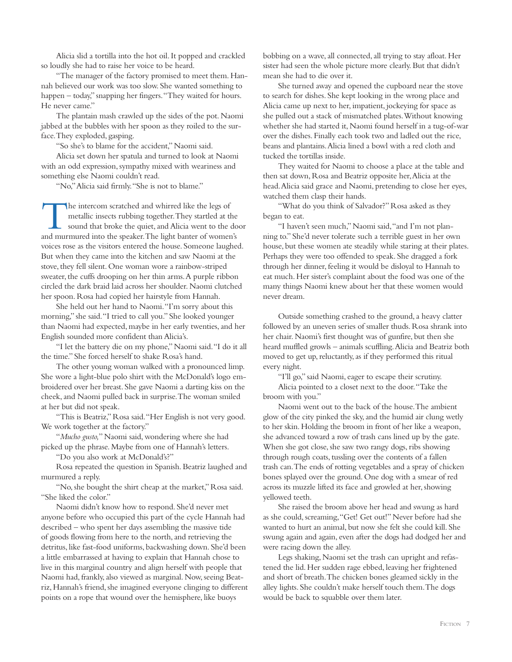Alicia slid a tortilla into the hot oil. It popped and crackled so loudly she had to raise her voice to be heard.

"The manager of the factory promised to meet them. Hannah believed our work was too slow. She wanted something to happen – today," snapping her fingers. "They waited for hours. He never came."

The plantain mash crawled up the sides of the pot. Naomi jabbed at the bubbles with her spoon as they roiled to the surface. They exploded, gasping.

"So she's to blame for the accident," Naomi said.

Alicia set down her spatula and turned to look at Naomi with an odd expression, sympathy mixed with weariness and something else Naomi couldn't read.

"No," Alicia said firmly. "She is not to blame."

The intercom scratched and whirred like the legs of metallic insects rubbing together. They startled at the sound that broke the quiet, and Alicia went to the door and murmured into the speaker. The light banter of women's voices rose as the visitors entered the house. Someone laughed. But when they came into the kitchen and saw Naomi at the stove, they fell silent. One woman wore a rainbow-striped sweater, the cuffs drooping on her thin arms. A purple ribbon circled the dark braid laid across her shoulder. Naomi clutched her spoon. Rosa had copied her hairstyle from Hannah.

She held out her hand to Naomi. "I'm sorry about this morning," she said. "I tried to call you." She looked younger than Naomi had expected, maybe in her early twenties, and her English sounded more confident than Alicia's.

"I let the battery die on my phone," Naomi said. "I do it all the time." She forced herself to shake Rosa's hand.

The other young woman walked with a pronounced limp. She wore a light-blue polo shirt with the McDonald's logo embroidered over her breast. She gave Naomi a darting kiss on the cheek, and Naomi pulled back in surprise. The woman smiled at her but did not speak.

"This is Beatriz," Rosa said. "Her English is not very good. We work together at the factory."

"*Mucho gusto,*" Naomi said, wondering where she had picked up the phrase. Maybe from one of Hannah's letters.

"Do you also work at McDonald's?"

Rosa repeated the question in Spanish. Beatriz laughed and murmured a reply.

"No, she bought the shirt cheap at the market," Rosa said. "She liked the color."

Naomi didn't know how to respond. She'd never met anyone before who occupied this part of the cycle Hannah had described – who spent her days assembling the massive tide of goods flowing from here to the north, and retrieving the detritus, like fast-food uniforms, backwashing down. She'd been a little embarrassed at having to explain that Hannah chose to live in this marginal country and align herself with people that Naomi had, frankly, also viewed as marginal. Now, seeing Beatriz, Hannah's friend, she imagined everyone clinging to different points on a rope that wound over the hemisphere, like buoys

bobbing on a wave, all connected, all trying to stay afloat. Her sister had seen the whole picture more clearly. But that didn't mean she had to die over it.

She turned away and opened the cupboard near the stove to search for dishes. She kept looking in the wrong place and Alicia came up next to her, impatient, jockeying for space as she pulled out a stack of mismatched plates. Without knowing whether she had started it, Naomi found herself in a tug-of-war over the dishes. Finally each took two and ladled out the rice, beans and plantains. Alicia lined a bowl with a red cloth and tucked the tortillas inside.

They waited for Naomi to choose a place at the table and then sat down, Rosa and Beatriz opposite her, Alicia at the head. Alicia said grace and Naomi, pretending to close her eyes, watched them clasp their hands.

"What do you think of Salvador?" Rosa asked as they began to eat.

"I haven't seen much," Naomi said, "and I'm not planning to." She'd never tolerate such a terrible guest in her own house, but these women ate steadily while staring at their plates. Perhaps they were too offended to speak. She dragged a fork through her dinner, feeling it would be disloyal to Hannah to eat much. Her sister's complaint about the food was one of the many things Naomi knew about her that these women would never dream.

Outside something crashed to the ground, a heavy clatter followed by an uneven series of smaller thuds. Rosa shrank into her chair. Naomi's first thought was of gunfire, but then she heard muffled growls – animals scuffling. Alicia and Beatriz both moved to get up, reluctantly, as if they performed this ritual every night.

"I'll go," said Naomi, eager to escape their scrutiny. Alicia pointed to a closet next to the door. "Take the broom with you."

Naomi went out to the back of the house. The ambient glow of the city pinked the sky, and the humid air clung wetly to her skin. Holding the broom in front of her like a weapon, she advanced toward a row of trash cans lined up by the gate. When she got close, she saw two rangy dogs, ribs showing through rough coats, tussling over the contents of a fallen trash can. The ends of rotting vegetables and a spray of chicken bones splayed over the ground. One dog with a smear of red across its muzzle lifted its face and growled at her, showing yellowed teeth.

She raised the broom above her head and swung as hard as she could, screaming, "Get! Get out!" Never before had she wanted to hurt an animal, but now she felt she could kill. She swung again and again, even after the dogs had dodged her and were racing down the alley.

Legs shaking, Naomi set the trash can upright and refastened the lid. Her sudden rage ebbed, leaving her frightened and short of breath. The chicken bones gleamed sickly in the alley lights. She couldn't make herself touch them. The dogs would be back to squabble over them later.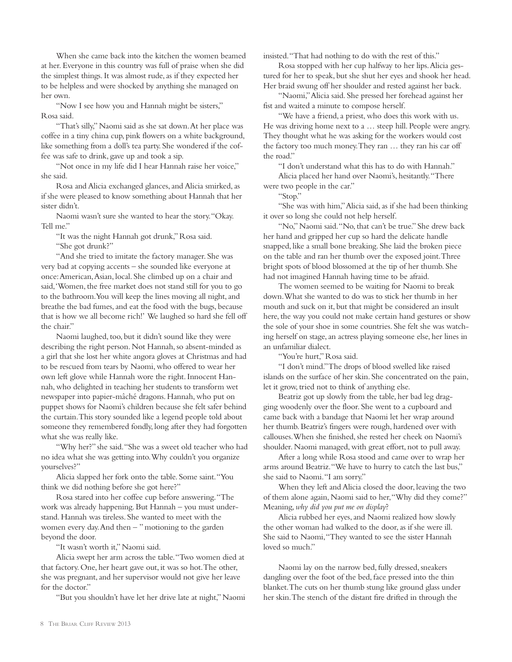When she came back into the kitchen the women beamed at her. Everyone in this country was full of praise when she did the simplest things. It was almost rude, as if they expected her to be helpless and were shocked by anything she managed on her own.

"Now I see how you and Hannah might be sisters," Rosa said.

"That's silly," Naomi said as she sat down. At her place was coffee in a tiny china cup, pink flowers on a white background, like something from a doll's tea party. She wondered if the coffee was safe to drink, gave up and took a sip.

"Not once in my life did I hear Hannah raise her voice," she said.

Rosa and Alicia exchanged glances, and Alicia smirked, as if she were pleased to know something about Hannah that her sister didn't.

Naomi wasn't sure she wanted to hear the story. "Okay. Tell me."

"It was the night Hannah got drunk," Rosa said. "She got drunk?"

"And she tried to imitate the factory manager. She was very bad at copying accents – she sounded like everyone at once: American, Asian, local. She climbed up on a chair and said, 'Women, the free market does not stand still for you to go to the bathroom. You will keep the lines moving all night, and breathe the bad fumes, and eat the food with the bugs, because that is how we all become rich!' We laughed so hard she fell off the chair."

Naomi laughed, too, but it didn't sound like they were describing the right person. Not Hannah, so absent-minded as a girl that she lost her white angora gloves at Christmas and had to be rescued from tears by Naomi, who offered to wear her own left glove while Hannah wore the right. Innocent Hannah, who delighted in teaching her students to transform wet newspaper into papier-mâché dragons. Hannah, who put on puppet shows for Naomi's children because she felt safer behind the curtain. This story sounded like a legend people told about someone they remembered fondly, long after they had forgotten what she was really like.

"Why her?" she said. "She was a sweet old teacher who had no idea what she was getting into. Why couldn't you organize yourselves?"

Alicia slapped her fork onto the table. Some saint. "You think we did nothing before she got here?"

Rosa stared into her coffee cup before answering. "The work was already happening. But Hannah – you must understand. Hannah was tireless. She wanted to meet with the women every day. And then – " motioning to the garden beyond the door.

"It wasn't worth it," Naomi said.

Alicia swept her arm across the table. "Two women died at that factory. One, her heart gave out, it was so hot. The other, she was pregnant, and her supervisor would not give her leave for the doctor."

"But you shouldn't have let her drive late at night," Naomi

insisted. "That had nothing to do with the rest of this."

Rosa stopped with her cup halfway to her lips. Alicia gestured for her to speak, but she shut her eyes and shook her head. Her braid swung off her shoulder and rested against her back.

"Naomi," Alicia said. She pressed her forehead against her fist and waited a minute to compose herself.

"We have a friend, a priest, who does this work with us. He was driving home next to a … steep hill. People were angry. They thought what he was asking for the workers would cost the factory too much money. They ran … they ran his car off the road."

"I don't understand what this has to do with Hannah." Alicia placed her hand over Naomi's, hesitantly. "There were two people in the car."

"Stop."

"She was with him," Alicia said, as if she had been thinking it over so long she could not help herself.

"No," Naomi said. "No, that can't be true." She drew back her hand and gripped her cup so hard the delicate handle snapped, like a small bone breaking. She laid the broken piece on the table and ran her thumb over the exposed joint. Three bright spots of blood blossomed at the tip of her thumb. She had not imagined Hannah having time to be afraid.

The women seemed to be waiting for Naomi to break down. What she wanted to do was to stick her thumb in her mouth and suck on it, but that might be considered an insult here, the way you could not make certain hand gestures or show the sole of your shoe in some countries. She felt she was watching herself on stage, an actress playing someone else, her lines in an unfamiliar dialect.

"You're hurt," Rosa said.

"I don't mind." The drops of blood swelled like raised islands on the surface of her skin. She concentrated on the pain, let it grow, tried not to think of anything else.

Beatriz got up slowly from the table, her bad leg dragging woodenly over the floor. She went to a cupboard and came back with a bandage that Naomi let her wrap around her thumb. Beatriz's fingers were rough, hardened over with callouses. When she finished, she rested her cheek on Naomi's shoulder. Naomi managed, with great effort, not to pull away.

After a long while Rosa stood and came over to wrap her arms around Beatriz. "We have to hurry to catch the last bus," she said to Naomi. "I am sorry."

When they left and Alicia closed the door, leaving the two of them alone again, Naomi said to her, "Why did they come?" Meaning, *why did you put me on display*?

Alicia rubbed her eyes, and Naomi realized how slowly the other woman had walked to the door, as if she were ill. She said to Naomi, "They wanted to see the sister Hannah loved so much."

Naomi lay on the narrow bed, fully dressed, sneakers dangling over the foot of the bed, face pressed into the thin blanket. The cuts on her thumb stung like ground glass under her skin. The stench of the distant fire drifted in through the